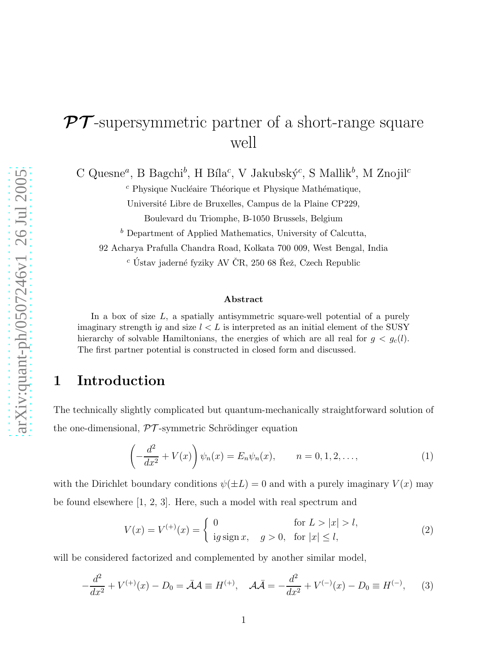# $\mathcal{PT}$ -supersymmetric partner of a short-range square well

C Quesne<sup>a</sup>, B Bagchi<sup>b</sup>, H Bíla<sup>c</sup>, V Jakubský<sup>c</sup>, S Mallik<sup>b</sup>, M Znojil<sup>c</sup>

 $c$  Physique Nucléaire Théorique et Physique Mathématique,

Université Libre de Bruxelles, Campus de la Plaine CP229,

Boulevard du Triomphe, B-1050 Brussels, Belgium

 $<sup>b</sup>$  Department of Applied Mathematics, University of Calcutta,</sup>

92 Acharya Prafulla Chandra Road, Kolkata 700 009, West Bengal, India

 $c$  Ústav jaderné fyziky AV ČR, 250 68 Řež, Czech Republic

#### Abstract

In a box of size  $L$ , a spatially antisymmetric square-well potential of a purely imaginary strength ig and size  $l < L$  is interpreted as an initial element of the SUSY hierarchy of solvable Hamiltonians, the energies of which are all real for  $g < g_c(l)$ . The first partner potential is constructed in closed form and discussed.

### 1 Introduction

The technically slightly complicated but quantum-mechanically straightforward solution of the one-dimensional,  $\mathcal{PT}$ -symmetric Schrödinger equation

$$
\left(-\frac{d^2}{dx^2} + V(x)\right)\psi_n(x) = E_n\psi_n(x), \qquad n = 0, 1, 2, \dots,
$$
\n(1)

with the Dirichlet boundary conditions  $\psi(\pm L) = 0$  and with a purely imaginary  $V(x)$  may be found elsewhere [1, 2, 3]. Here, such a model with real spectrum and

$$
V(x) = V^{(+)}(x) = \begin{cases} 0 & \text{for } L > |x| > l, \\ \text{ig sign } x, & g > 0, \text{ for } |x| \le l, \end{cases}
$$
 (2)

will be considered factorized and complemented by another similar model,

$$
-\frac{d^2}{dx^2} + V^{(+)}(x) - D_0 = \bar{\mathcal{A}}\mathcal{A} \equiv H^{(+)}, \quad \mathcal{A}\bar{\mathcal{A}} = -\frac{d^2}{dx^2} + V^{(-)}(x) - D_0 \equiv H^{(-)},\tag{3}
$$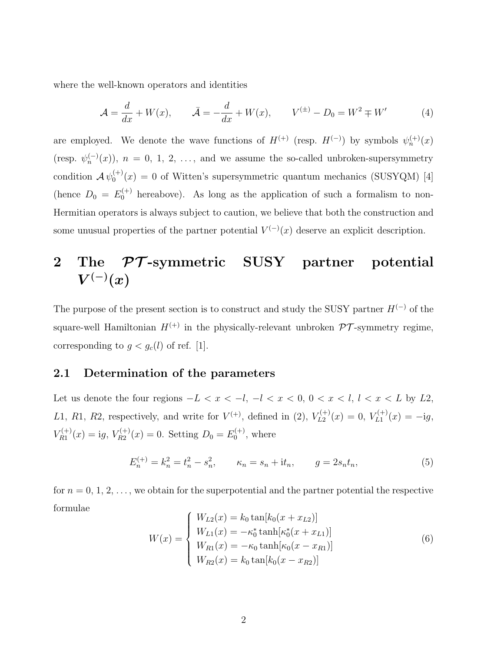where the well-known operators and identities

$$
\mathcal{A} = \frac{d}{dx} + W(x), \qquad \bar{\mathcal{A}} = -\frac{d}{dx} + W(x), \qquad V^{(\pm)} - D_0 = W^2 \mp W' \tag{4}
$$

are employed. We denote the wave functions of  $H^{(+)}$  (resp.  $H^{(-)}$ ) by symbols  $\psi_n^{(+)}(x)$ (resp.  $\psi_n^{(-)}(x)$ ),  $n = 0, 1, 2, \ldots$ , and we assume the so-called unbroken-supersymmetry condition  $\mathcal{A} \psi_0^{(+)}$  $0<sup>(+)</sup>(x) = 0$  of Witten's supersymmetric quantum mechanics (SUSYQM) [4] (hence  $D_0 = E_0^{(+)}$  hereabove). As long as the application of such a formalism to non-Hermitian operators is always subject to caution, we believe that both the construction and some unusual properties of the partner potential  $V^{(-)}(x)$  deserve an explicit description.

## 2 The  $\mathcal{PT}$ -symmetric SUSY partner potential  $V^{(-)}(x)$

The purpose of the present section is to construct and study the SUSY partner  $H^{(-)}$  of the square-well Hamiltonian  $H^{(+)}$  in the physically-relevant unbroken  $\mathcal{PT}$ -symmetry regime, corresponding to  $g < g_c(l)$  of ref. [1].

#### 2.1 Determination of the parameters

Let us denote the four regions  $-L < x < -l$ ,  $-l < x < 0$ ,  $0 < x < l$ ,  $l < x < L$  by L2, L1, R1, R2, respectively, and write for  $V^{(+)}$ , defined in (2),  $V_{L2}^{(+)}(x) = 0$ ,  $V_{L1}^{(+)}(x) = -ig$ ,  $V_{R1}^{(+)}(x) = ig, V_{R2}^{(+)}(x) = 0.$  Setting  $D_0 = E_0^{(+)}$  $\binom{1}{0}$ , where

$$
E_n^{(+)} = k_n^2 = t_n^2 - s_n^2, \qquad \kappa_n = s_n + it_n, \qquad g = 2s_n t_n,
$$
\n(5)

for  $n = 0, 1, 2, \ldots$ , we obtain for the superpotential and the partner potential the respective formulae

$$
W(x) = \begin{cases} W_{L2}(x) = k_0 \tan[k_0(x + x_{L2})] \\ W_{L1}(x) = -\kappa_0^* \tanh[\kappa_0^*(x + x_{L1})] \\ W_{R1}(x) = -\kappa_0 \tanh[\kappa_0(x - x_{R1})] \\ W_{R2}(x) = k_0 \tan[k_0(x - x_{R2})] \end{cases}
$$
(6)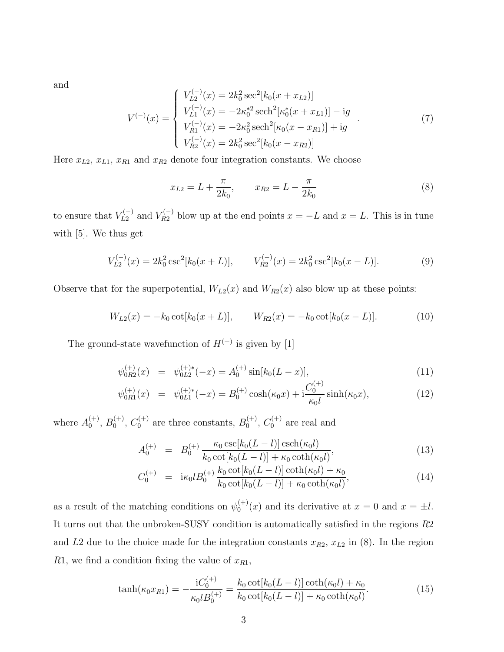and

$$
V^{(-)}(x) = \begin{cases} V_{L2}^{(-)}(x) = 2k_0^2 \sec^2[k_0(x + x_{L2})] \\ V_{L1}^{(-)}(x) = -2\kappa_0^*^2 \operatorname{sech}^2[\kappa_0^*(x + x_{L1})] - ig \\ V_{R1}^{(-)}(x) = -2\kappa_0^2 \operatorname{sech}^2[\kappa_0(x - x_{R1})] + ig \\ V_{R2}^{(-)}(x) = 2k_0^2 \operatorname{sec}^2[k_0(x - x_{R2})] \end{cases}
$$
(7)

Here  $x_{L2}$ ,  $x_{L1}$ ,  $x_{R1}$  and  $x_{R2}$  denote four integration constants. We choose

$$
x_{L2} = L + \frac{\pi}{2k_0}, \qquad x_{R2} = L - \frac{\pi}{2k_0}
$$
 (8)

to ensure that  $V_{L2}^{(-)}$  and  $V_{R2}^{(-)}$  blow up at the end points  $x = -L$  and  $x = L$ . This is in tune with [5]. We thus get

$$
V_{L2}^{(-)}(x) = 2k_0^2 \csc^2[k_0(x+L)], \qquad V_{R2}^{(-)}(x) = 2k_0^2 \csc^2[k_0(x-L)]. \tag{9}
$$

Observe that for the superpotential,  $W_{L2}(x)$  and  $W_{R2}(x)$  also blow up at these points:

$$
W_{L2}(x) = -k_0 \cot[k_0(x+L)], \qquad W_{R2}(x) = -k_0 \cot[k_0(x-L)]. \tag{10}
$$

The ground-state wavefunction of  $H^{(+)}$  is given by [1]

$$
\psi_{0R2}^{(+)}(x) = \psi_{0L2}^{(+)*}(-x) = A_0^{(+)} \sin[k_0(L-x)],
$$
\n(11)

$$
\psi_{0R1}^{(+)}(x) = \psi_{0L1}^{(+)}{}^{*}(-x) = B_0^{(+)} \cosh(\kappa_0 x) + i \frac{C_0^{(+)}}{\kappa_0 l} \sinh(\kappa_0 x), \tag{12}
$$

where  $A_0^{(+)}$  $\binom{(+)}{0}, B_0^{(+)}$  $C_0^{(+)}$ ,  $C_0^{(+)}$  are three constants,  $B_0^{(+)}$  $C_0^{(+)}$ ,  $C_0^{(+)}$  are real and

$$
A_0^{(+)} = B_0^{(+)} \frac{\kappa_0 \csc[k_0(L-l)] \csch(\kappa_0 l)}{k_0 \cot[k_0(L-l)] + \kappa_0 \coth(\kappa_0 l)},
$$
\n(13)

$$
C_0^{(+)} = i\kappa_0 l B_0^{(+)} \frac{k_0 \cot[k_0(L-l)] \coth(\kappa_0 l) + \kappa_0}{k_0 \cot[k_0(L-l)] + \kappa_0 \coth(\kappa_0 l)},
$$
\n(14)

as a result of the matching conditions on  $\psi_0^{(+)}$  $0^{(+)}(x)$  and its derivative at  $x = 0$  and  $x = \pm l$ . It turns out that the unbroken-SUSY condition is automatically satisfied in the regions R2 and L2 due to the choice made for the integration constants  $x_{R2}$ ,  $x_{L2}$  in (8). In the region R1, we find a condition fixing the value of  $x_{R1}$ ,

$$
\tanh(\kappa_0 x_{R1}) = -\frac{iC_0^{(+)}}{\kappa_0 l B_0^{(+)}} = \frac{k_0 \cot[k_0(L-l)] \coth(\kappa_0 l) + \kappa_0}{k_0 \cot[k_0(L-l)] + \kappa_0 \coth(\kappa_0 l)}.
$$
\n(15)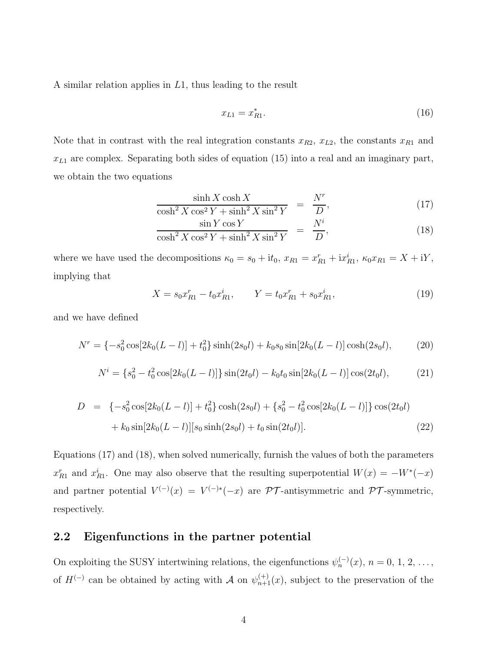A similar relation applies in L1, thus leading to the result

$$
x_{L1} = x_{R1}^*.\t\t(16)
$$

Note that in contrast with the real integration constants  $x_{R2}$ ,  $x_{L2}$ , the constants  $x_{R1}$  and  $x_{L1}$  are complex. Separating both sides of equation (15) into a real and an imaginary part, we obtain the two equations

$$
\frac{\sinh X \cosh X}{\cosh^2 X \cos^2 Y + \sinh^2 X \sin^2 Y} = \frac{N^r}{D},
$$
\n
$$
\frac{\cosh^2 X \cos Y}{N^i}
$$
\n(17)

$$
\frac{\sin Y \cos Y}{\cosh^2 X \cos^2 Y + \sinh^2 X \sin^2 Y} = \frac{N^i}{D},\tag{18}
$$

where we have used the decompositions  $\kappa_0 = s_0 + it_0$ ,  $x_{R1} = x_{R1}^r + ix_{R1}^i$ ,  $\kappa_0 x_{R1} = X + iY$ , implying that

$$
X = s_0 x_{R1}^r - t_0 x_{R1}^i, \qquad Y = t_0 x_{R1}^r + s_0 x_{R1}^i,\tag{19}
$$

and we have defined

$$
N^r = \{-s_0^2 \cos[2k_0(L-l)] + t_0^2\} \sinh(2s_0l) + k_0 s_0 \sin[2k_0(L-l)] \cosh(2s_0l),\tag{20}
$$

$$
N^{i} = \{s_0^{2} - t_0^{2} \cos[2k_0(L-l)]\} \sin(2t_0l) - k_0t_0 \sin[2k_0(L-l)] \cos(2t_0l), \tag{21}
$$

$$
D = \{-s_0^2 \cos[2k_0(L-l)] + t_0^2\} \cosh(2s_0l) + \{s_0^2 - t_0^2 \cos[2k_0(L-l)]\} \cos(2t_0l) + k_0 \sin[2k_0(L-l)][s_0 \sinh(2s_0l) + t_0 \sin(2t_0l)].
$$
\n(22)

Equations (17) and (18), when solved numerically, furnish the values of both the parameters  $x_{R1}^r$  and  $x_{R1}^i$ . One may also observe that the resulting superpotential  $W(x) = -W^*(-x)$ and partner potential  $V^{(-)}(x) = V^{(-)*}(-x)$  are PT-antisymmetric and PT-symmetric, respectively.

### 2.2 Eigenfunctions in the partner potential

On exploiting the SUSY intertwining relations, the eigenfunctions  $\psi_n^{(-)}(x)$ ,  $n = 0, 1, 2, \ldots$ , of  $H^{(-)}$  can be obtained by acting with A on  $\psi_{n+1}^{(+)}(x)$ , subject to the preservation of the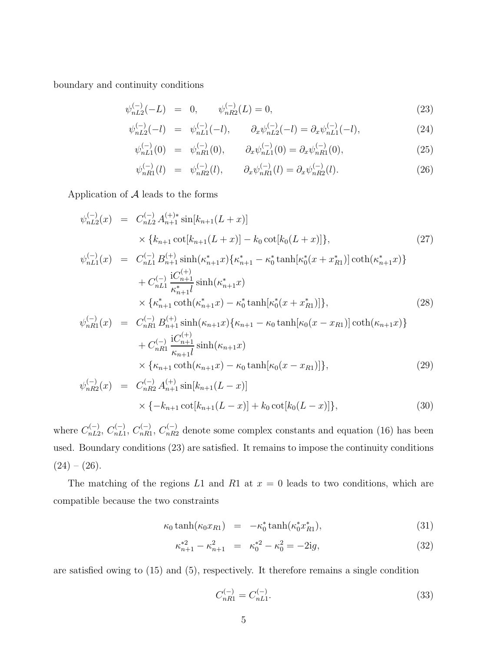boundary and continuity conditions

$$
\psi_{nL2}^{(-)}(-L) = 0, \qquad \psi_{nR2}^{(-)}(L) = 0,
$$
\n(23)

$$
\psi_{nL2}^{(-)}(-l) = \psi_{nL1}^{(-)}(-l), \qquad \partial_x \psi_{nL2}^{(-)}(-l) = \partial_x \psi_{nL1}^{(-)}(-l), \tag{24}
$$

$$
\psi_{nL1}^{(-)}(0) = \psi_{nR1}^{(-)}(0), \qquad \partial_x \psi_{nL1}^{(-)}(0) = \partial_x \psi_{nR1}^{(-)}(0), \tag{25}
$$

$$
\psi_{nR1}^{(-)}(l) = \psi_{nR2}^{(-)}(l), \qquad \partial_x \psi_{nR1}^{(-)}(l) = \partial_x \psi_{nR2}^{(-)}(l). \tag{26}
$$

Application of  $A$  leads to the forms

$$
\psi_{nL2}^{(-)}(x) = C_{nL2}^{(-)} A_{n+1}^{(+)*} \sin[k_{n+1}(L+x)]
$$
  
 
$$
\times \{k_{n+1} \cot[k_{n+1}(L+x)] - k_0 \cot[k_0(L+x)]\},
$$
 (27)

$$
\psi_{nL1}^{(-)}(x) = C_{nL1}^{(-)} B_{n+1}^{(+)} \sinh(\kappa_{n+1}^* x) \{ \kappa_{n+1}^* - \kappa_0^* \tanh[\kappa_0^* (x + x_{R1}^*)] \coth(\kappa_{n+1}^* x) \} + C_{nL1}^{(-)} \frac{\mathrm{i} C_{n+1}^{(+)}}{\kappa_{n+1}^* l} \sinh(\kappa_{n+1}^* x) \times \{ \kappa_{n+1}^* \coth(\kappa_{n+1}^* x) - \kappa_0^* \tanh[\kappa_0^* (x + x_{R1}^*)] \},
$$
\n(28)

$$
\psi_{nR1}^{(-)}(x) = C_{nR1}^{(-)} B_{n+1}^{(+)} \sinh(\kappa_{n+1} x) \{ \kappa_{n+1} - \kappa_0 \tanh[\kappa_0 (x - x_{R1})] \coth(\kappa_{n+1} x) \} \n+ C_{nR1}^{(-)} \frac{iC_{n+1}^{(+)}}{\kappa_{n+1} l} \sinh(\kappa_{n+1} x) \n\times {\kappa_{n+1} \coth(\kappa_{n+1} x) - \kappa_0 \tanh[\kappa_0 (x - x_{R1})]},
$$
\n(29)

$$
\psi_{nR2}^{(-)}(x) = C_{nR2}^{(-)} A_{n+1}^{(+)} \sin[k_{n+1}(L-x)]
$$
  
 
$$
\times \{-k_{n+1} \cot[k_{n+1}(L-x)] + k_0 \cot[k_0(L-x)]\},
$$
 (30)

where  $C_{nL2}^{(-)}$  $C_{nL1}^{(-)}$ ,  $C_{nL1}^{(-)}$  $C_{nL1}^{(-)}, C_{nR1}^{(-)}$  $n_{nR1}^{(-)}, C_{nR2}^{(-)}$  denote some complex constants and equation (16) has been used. Boundary conditions (23) are satisfied. It remains to impose the continuity conditions  $(24) - (26)$ .

The matching of the regions  $L1$  and  $R1$  at  $x = 0$  leads to two conditions, which are compatible because the two constraints

$$
\kappa_0 \tanh(\kappa_0 x_{R1}) = -\kappa_0^* \tanh(\kappa_0^* x_{R1}^*), \tag{31}
$$

$$
\kappa_{n+1}^{*2} - \kappa_{n+1}^2 = \kappa_0^{*2} - \kappa_0^2 = -2ig,\tag{32}
$$

are satisfied owing to (15) and (5), respectively. It therefore remains a single condition

$$
C_{nR1}^{(-)} = C_{nL1}^{(-)}.\tag{33}
$$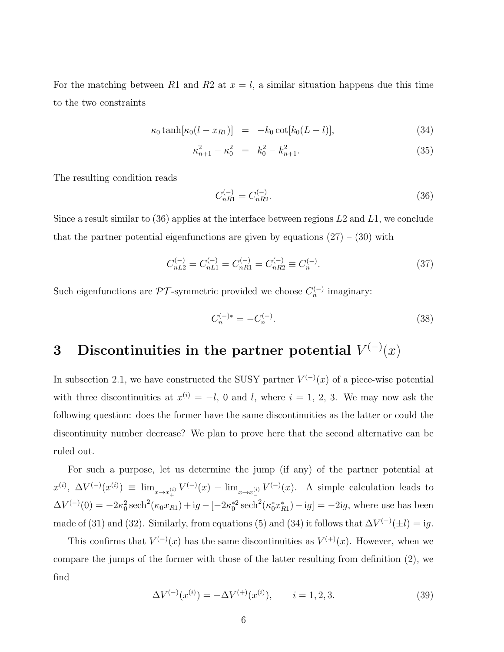For the matching between R1 and R2 at  $x = l$ , a similar situation happens due this time to the two constraints

$$
\kappa_0 \tanh[\kappa_0 (l - x_{R1})] = -k_0 \cot[k_0 (L - l)], \tag{34}
$$

$$
\kappa_{n+1}^2 - \kappa_0^2 = k_0^2 - k_{n+1}^2. \tag{35}
$$

The resulting condition reads

$$
C_{nR1}^{(-)} = C_{nR2}^{(-)}.\tag{36}
$$

Since a result similar to  $(36)$  applies at the interface between regions  $L2$  and  $L1$ , we conclude that the partner potential eigenfunctions are given by equations  $(27) - (30)$  with

$$
C_{nL2}^{(-)} = C_{nL1}^{(-)} = C_{nR1}^{(-)} = C_{nR2}^{(-)} \equiv C_n^{(-)}.
$$
\n(37)

Such eigenfunctions are  $\mathcal{PT}$ -symmetric provided we choose  $C_n^{(-)}$  imaginary:

$$
C_n^{(-)*} = -C_n^{(-)}.\tag{38}
$$

## 3 Discontinuities in the partner potential  $V^{(-)}(x)$

In subsection 2.1, we have constructed the SUSY partner  $V^{(-)}(x)$  of a piece-wise potential with three discontinuities at  $x^{(i)} = -l$ , 0 and l, where  $i = 1, 2, 3$ . We may now ask the following question: does the former have the same discontinuities as the latter or could the discontinuity number decrease? We plan to prove here that the second alternative can be ruled out.

For such a purpose, let us determine the jump (if any) of the partner potential at  $x^{(i)}$ ,  $\Delta V^{(-)}(x^{(i)}) \equiv \lim_{x \to x_+^{(i)}} V^{(-)}(x) - \lim_{x \to x_-^{(i)}} V^{(-)}(x)$ . A simple calculation leads to  $\Delta V^{(-)}(0) = -2\kappa_0^2 \operatorname{sech}^2(\kappa_0 x_{R1}) + i\tilde{g} - [-2\kappa_0^*^2 \operatorname{sech}^2(\kappa_0^* x_{R1}^*) - i\tilde{g}] = -2i\tilde{g}$ , where use has been made of (31) and (32). Similarly, from equations (5) and (34) it follows that  $\Delta V^{(-)}(\pm l) = i g$ .

This confirms that  $V^{(-)}(x)$  has the same discontinuities as  $V^{(+)}(x)$ . However, when we compare the jumps of the former with those of the latter resulting from definition (2), we find

$$
\Delta V^{(-)}(x^{(i)}) = -\Delta V^{(+)}(x^{(i)}), \qquad i = 1, 2, 3. \tag{39}
$$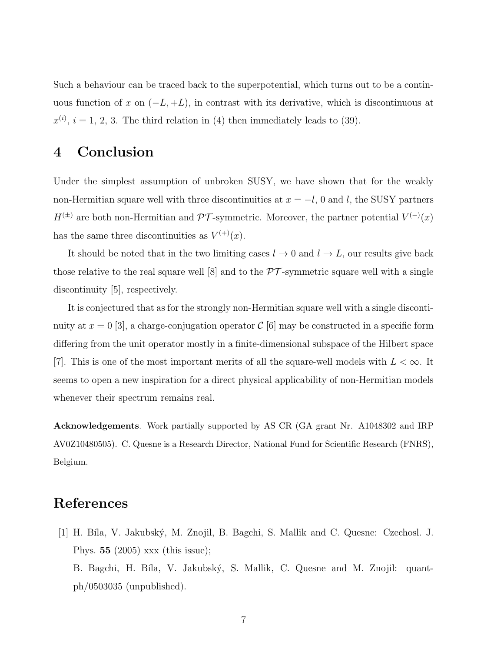Such a behaviour can be traced back to the superpotential, which turns out to be a continuous function of x on  $(-L, +L)$ , in contrast with its derivative, which is discontinuous at  $x^{(i)}$ ,  $i = 1, 2, 3$ . The third relation in (4) then immediately leads to (39).

## 4 Conclusion

Under the simplest assumption of unbroken SUSY, we have shown that for the weakly non-Hermitian square well with three discontinuities at  $x = -l$ , 0 and l, the SUSY partners  $H^{(\pm)}$  are both non-Hermitian and PT-symmetric. Moreover, the partner potential  $V^{(-)}(x)$ has the same three discontinuities as  $V^{(+)}(x)$ .

It should be noted that in the two limiting cases  $l \to 0$  and  $l \to L$ , our results give back those relative to the real square well [8] and to the  $\mathcal{PT}$ -symmetric square well with a single discontinuity [5], respectively.

It is conjectured that as for the strongly non-Hermitian square well with a single discontinuity at  $x = 0$  [3], a charge-conjugation operator  $\mathcal{C}$  [6] may be constructed in a specific form differing from the unit operator mostly in a finite-dimensional subspace of the Hilbert space [7]. This is one of the most important merits of all the square-well models with  $L < \infty$ . It seems to open a new inspiration for a direct physical applicability of non-Hermitian models whenever their spectrum remains real.

Acknowledgements. Work partially supported by AS CR (GA grant Nr. A1048302 and IRP AV0Z10480505). C. Quesne is a Research Director, National Fund for Scientific Research (FNRS), Belgium.

### References

[1] H. B´ıla, V. Jakubsk´y, M. Znojil, B. Bagchi, S. Mallik and C. Quesne: Czechosl. J. Phys. 55 (2005) xxx (this issue);

B. Bagchi, H. Bíla, V. Jakubský, S. Mallik, C. Quesne and M. Znojil: quantph/0503035 (unpublished).